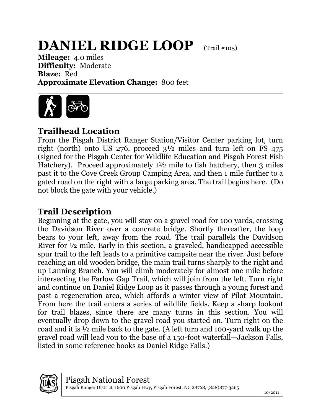## **DANIEL RIDGE LOOP** (Trail #105)

**Mileage:** 4.0 miles **Difficulty:** Moderate **Blaze:** Red **Approximate Elevation Change:** 800 feet



## **Trailhead Location**

From the Pisgah District Ranger Station/Visitor Center parking lot, turn right (north) onto US 276, proceed 3½ miles and turn left on FS 475 (signed for the Pisgah Center for Wildlife Education and Pisgah Forest Fish Hatchery). Proceed approximately 1<sup>1/2</sup> mile to fish hatchery, then 3 miles past it to the Cove Creek Group Camping Area, and then 1 mile further to a gated road on the right with a large parking area. The trail begins here. (Do not block the gate with your vehicle.)

## **Trail Description**

Beginning at the gate, you will stay on a gravel road for 100 yards, crossing the Davidson River over a concrete bridge. Shortly thereafter, the loop bears to your left, away from the road. The trail parallels the Davidson River for ½ mile. Early in this section, a graveled, handicapped-accessible spur trail to the left leads to a primitive campsite near the river. Just before reaching an old wooden bridge, the main trail turns sharply to the right and up Lanning Branch. You will climb moderately for almost one mile before intersecting the Farlow Gap Trail, which will join from the left. Turn right and continue on Daniel Ridge Loop as it passes through a young forest and past a regeneration area, which affords a winter view of Pilot Mountain. From here the trail enters a series of wildlife fields. Keep a sharp lookout for trail blazes, since there are many turns in this section. You will eventually drop down to the gravel road you started on. Turn right on the road and it is ½ mile back to the gate. (A left turn and 100-yard walk up the gravel road will lead you to the base of a 150-foot waterfall—Jackson Falls, listed in some reference books as Daniel Ridge Falls.)